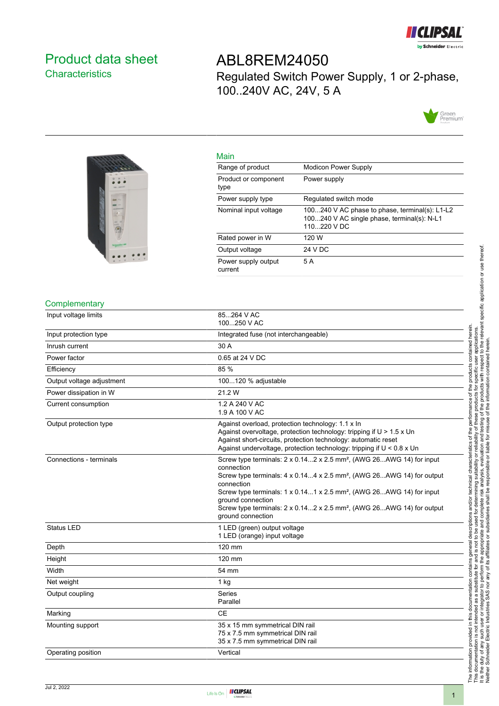

## <span id="page-0-0"></span>Product data sheet **Characteristics**

ABL8REM24050 Regulated Switch Power Supply, 1 or 2-phase, 100..240V AC, 24V, 5 A





| <b>Mall</b>                    |                                                                                                               |
|--------------------------------|---------------------------------------------------------------------------------------------------------------|
| Range of product               | <b>Modicon Power Supply</b>                                                                                   |
| Product or component<br>type   | Power supply                                                                                                  |
| Power supply type              | Regulated switch mode                                                                                         |
| Nominal input voltage          | 100240 V AC phase to phase, terminal(s): L1-L2<br>100240 V AC single phase, terminal(s): N-L1<br>110 220 V DC |
| Rated power in W               | 120 W                                                                                                         |
| Output voltage                 | 24 V DC                                                                                                       |
| Power supply output<br>current | 5 A                                                                                                           |

## **Complementary**

| Input voltage limits      | 85264 V AC<br>100250 V AC                                                                                                                                                                                                                                                                                                                                                                                                        |  |
|---------------------------|----------------------------------------------------------------------------------------------------------------------------------------------------------------------------------------------------------------------------------------------------------------------------------------------------------------------------------------------------------------------------------------------------------------------------------|--|
| Input protection type     | Integrated fuse (not interchangeable)                                                                                                                                                                                                                                                                                                                                                                                            |  |
| Inrush current            | 30 A                                                                                                                                                                                                                                                                                                                                                                                                                             |  |
| Power factor              | 0.65 at 24 V DC                                                                                                                                                                                                                                                                                                                                                                                                                  |  |
| Efficiency                | 85 %                                                                                                                                                                                                                                                                                                                                                                                                                             |  |
| Output voltage adjustment | 100120 % adjustable                                                                                                                                                                                                                                                                                                                                                                                                              |  |
| Power dissipation in W    | 21.2 W                                                                                                                                                                                                                                                                                                                                                                                                                           |  |
| Current consumption       | 1.2 A 240 V AC<br>1.9 A 100 V AC                                                                                                                                                                                                                                                                                                                                                                                                 |  |
| Output protection type    | Against overload, protection technology: 1.1 x In<br>Against overvoltage, protection technology: tripping if U > 1.5 x Un<br>Against short-circuits, protection technology: automatic reset<br>Against undervoltage, protection technology: tripping if $U < 0.8$ x Un                                                                                                                                                           |  |
| Connections - terminals   | Screw type terminals: 2 x 0.142 x 2.5 mm <sup>2</sup> , (AWG 26AWG 14) for input<br>connection<br>Screw type terminals: 4 x 0.144 x 2.5 mm <sup>2</sup> , (AWG 26AWG 14) for output<br>connection<br>Screw type terminals: 1 x 0.141 x 2.5 mm <sup>2</sup> , (AWG 26AWG 14) for input<br>ground connection<br>Screw type terminals: $2 \times 0.142 \times 2.5$ mm <sup>2</sup> , (AWG 26AWG 14) for output<br>ground connection |  |
| <b>Status LED</b>         | 1 LED (green) output voltage<br>1 LED (orange) input voltage                                                                                                                                                                                                                                                                                                                                                                     |  |
| Depth                     | 120 mm                                                                                                                                                                                                                                                                                                                                                                                                                           |  |
| Height                    | 120 mm                                                                                                                                                                                                                                                                                                                                                                                                                           |  |
| Width                     | 54 mm                                                                                                                                                                                                                                                                                                                                                                                                                            |  |
| Net weight                | $1$ kg                                                                                                                                                                                                                                                                                                                                                                                                                           |  |
| Output coupling           | <b>Series</b><br>Parallel                                                                                                                                                                                                                                                                                                                                                                                                        |  |
| Marking                   | <b>CE</b>                                                                                                                                                                                                                                                                                                                                                                                                                        |  |
| Mounting support          | 35 x 15 mm symmetrical DIN rail<br>75 x 7.5 mm symmetrical DIN rail<br>35 x 7.5 mm symmetrical DIN rail                                                                                                                                                                                                                                                                                                                          |  |
| Operating position        | Vertical                                                                                                                                                                                                                                                                                                                                                                                                                         |  |

Main

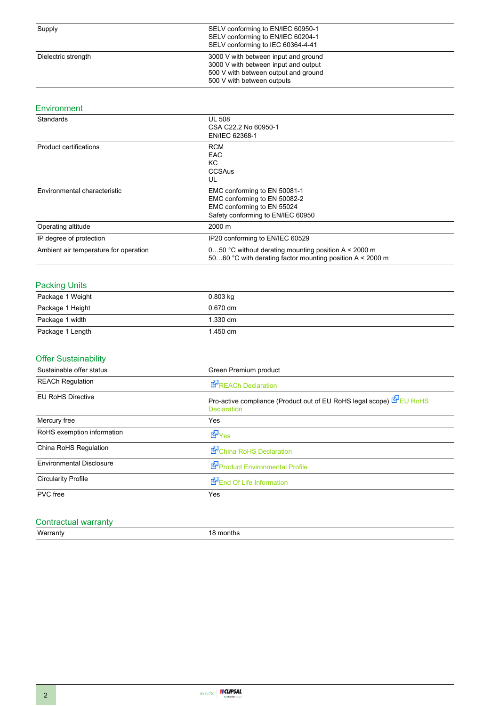## Environment

| Standards                             | <b>UL 508</b><br>CSA C22.2 No 60950-1<br>EN/IEC 62368-1                                                                         |  |
|---------------------------------------|---------------------------------------------------------------------------------------------------------------------------------|--|
| <b>Product certifications</b>         | <b>RCM</b><br><b>EAC</b><br>KC.<br><b>CCSAus</b><br>UL                                                                          |  |
| Environmental characteristic          | EMC conforming to EN 50081-1<br>EMC conforming to EN 50082-2<br>EMC conforming to EN 55024<br>Safety conforming to EN/IEC 60950 |  |
| Operating altitude                    | 2000 m                                                                                                                          |  |
| IP degree of protection               | IP20 conforming to EN/IEC 60529                                                                                                 |  |
| Ambient air temperature for operation | 050 °C without derating mounting position A $\leq$ 2000 m<br>5060 °C with derating factor mounting position A < 2000 m          |  |

#### Packing Units

| Package 1 Weight | $0.803$ kg         |  |
|------------------|--------------------|--|
| Package 1 Height | $0.670$ dm         |  |
| Package 1 width  | $1.330 \text{ dm}$ |  |
| Package 1 Length | 1.450 dm           |  |

#### Offer Sustainability

| REACh Declaration                                                                        |  |
|------------------------------------------------------------------------------------------|--|
| Pro-active compliance (Product out of EU RoHS legal scope) EU RoHS<br><b>Declaration</b> |  |
| Yes                                                                                      |  |
| d Yes                                                                                    |  |
| China RoHS Declaration                                                                   |  |
| Product Environmental Profile                                                            |  |
| End Of Life Information                                                                  |  |
| Yes                                                                                      |  |
|                                                                                          |  |

#### Contractual warranty

Warranty **18 months**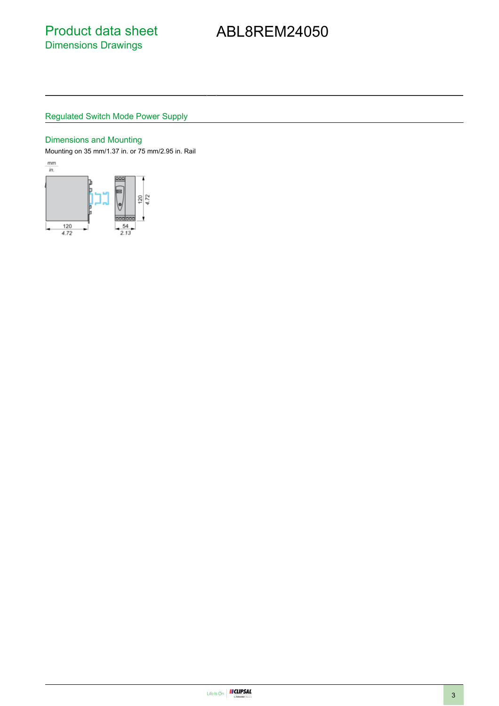# ABL8REM24050

## Regulated Switch Mode Power Supply

#### Dimensions and Mounting

Mounting on 35 mm/1.37 in. or 75 mm/2.95 in. Rail

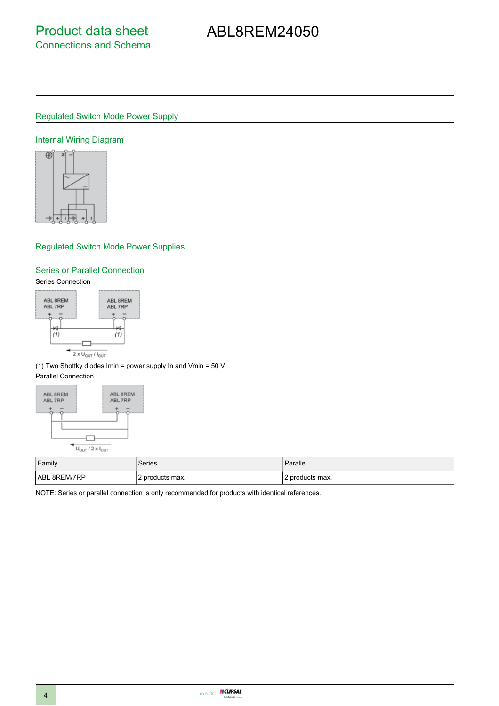# ABL8REM24050

## Regulated Switch Mode Power Supply

#### Internal Wiring Diagram



#### Regulated Switch Mode Power Supplies

### Series or Parallel Connection

#### Series Connection



(1) Two Shottky diodes Imin = power supply In and Vmin = 50 V

## Parallel Connection



| Family              | Series          | Parallel          |
|---------------------|-----------------|-------------------|
| <b>ABL 8REM/7RP</b> | 2 products max. | l 2 products max. |

NOTE: Series or parallel connection is only recommended for products with identical references.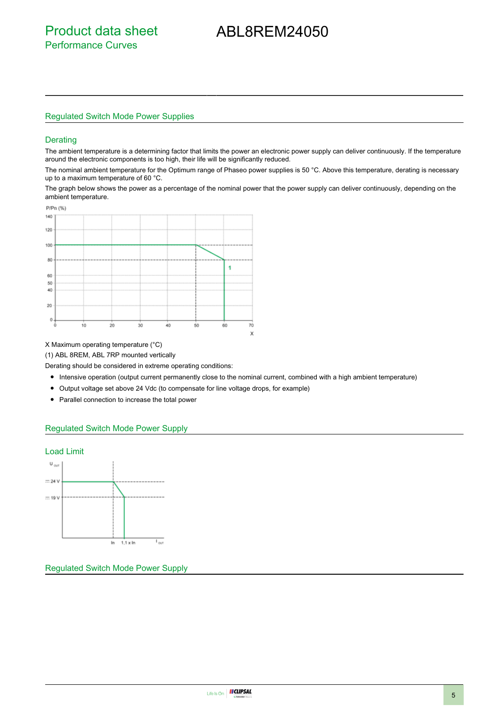## ABL8REM24050

#### Regulated Switch Mode Power Supplies

#### **Derating**

The ambient temperature is a determining factor that limits the power an electronic power supply can deliver continuously. If the temperature around the electronic components is too high, their life will be significantly reduced.

The nominal ambient temperature for the Optimum range of Phaseo power supplies is 50 °C. Above this temperature, derating is necessary up to a maximum temperature of 60 °C.

The graph below shows the power as a percentage of the nominal power that the power supply can deliver continuously, depending on the ambient temperature.



#### X Maximum operating temperature (°C)

(1) ABL 8REM, ABL 7RP mounted vertically

Derating should be considered in extreme operating conditions:

- Intensive operation (output current permanently close to the nominal current, combined with a high ambient temperature)
- Output voltage set above 24 Vdc (to compensate for line voltage drops, for example)
- Parallel connection to increase the total power

#### Regulated Switch Mode Power Supply



Regulated Switch Mode Power Supply